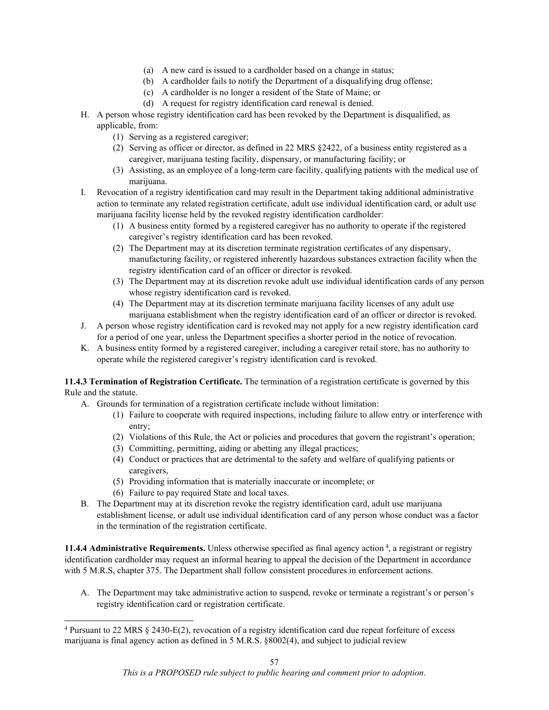## THIS VERSION IS OUT-OF-DATE EFFECTIVE 2/28/2022. IT IS RETAINED FOR ARCHIVAL PURPOSES ONLY—IT IS NOT SUBJECT TO FORMAL RULEMAKING.

- (a) A new card is issued to a cardholder based on a change in status;
- (b) A cardholder fails to notify the Department of a disqualifying drug offense;
- (c) A cardholder is no longer a resident of the State of Maine; or
- (d) A request for registry identification card renewal is denied.
- H. A person whose registry identification card has been revoked by the Department is disqualified, as applicable, from:
	- (1) Serving as a registered caregiver;
	- (2) Serving as officer or director, as defined in 22 MRS §2422, of a business entity registered as a caregiver, marijuana testing facility, dispensary, or manufacturing facility; or
	- (3) Assisting, as an employee of a long-term care facility, qualifying patients with the medical use of marijuana.
- I. Revocation of a registry identification card may result in the Department taking additional administrative action to terminate any related registration certificate, adult use individual identification card, or adult use marijuana facility license held by the revoked registry identification cardholder:
	- (1) A business entity formed by a registered caregiver has no authority to operate if the registered caregiver's registry identification card has been revoked.
	- (2) The Department may at its discretion terminate registration certificates of any dispensary, manufacturing facility, or registered inherently hazardous substances extraction facility when the registry identification card of an officer or director is revoked.
	- (3) The Department may at its discretion revoke adult use individual identification cards of any person whose registry identification card is revoked.
	- (4) The Department may at its discretion terminate marijuana facility licenses of any adult use marijuana establishment when the registry identification card of an officer or director is revoked.
- J. A person whose registry identification card is revoked may not apply for a new registry identification card for a period of one year, unless the Department specifies a shorter period in the notice of revocation.
- K. A business entity formed by a registered caregiver, including a caregiver retail store, has no authority to operate while the registered caregiver's registry identification card is revoked.

**11.4.3 Termination of Registration Certificate.** The termination of a registration certificate is governed by this Rule and the statute.

- A. Grounds for termination of a registration certificate include without limitation:
	- (1) Failure to cooperate with required inspections, including failure to allow entry or interference with entry;
	- (2) Violations of this Rule, the Act or policies and procedures that govern the registrant's operation;
	- (3) Committing, permitting, aiding or abetting any illegal practices;
	- (4) Conduct or practices that are detrimental to the safety and welfare of qualifying patients or caregivers,
	- (5) Providing information that is materially inaccurate or incomplete; or
	- (6) Failure to pay required State and local taxes.
- B. The Department may at its discretion revoke the registry identification card, adult use marijuana establishment license, or adult use individual identification card of any person whose conduct was a factor in the termination of the registration certificate.

11.[4](#page-56-0).4 Administrative Requirements. Unless otherwise specified as final agency action<sup>4</sup>, a registrant or registry identification cardholder may request an informal hearing to appeal the decision of the Department in accordance with 5 M.R.S, chapter 375. The Department shall follow consistent procedures in enforcement actions.

A. The Department may take administrative action to suspend, revoke or terminate a registrant's or person's registry identification card or registration certificate.

<span id="page-56-0"></span><sup>4</sup> Pursuant to 22 MRS § 2430-E(2), revocation of a registry identification card due repeat forfeiture of excess marijuana is final agency action as defined in 5 M.R.S. §8002(4), and subject to judicial review